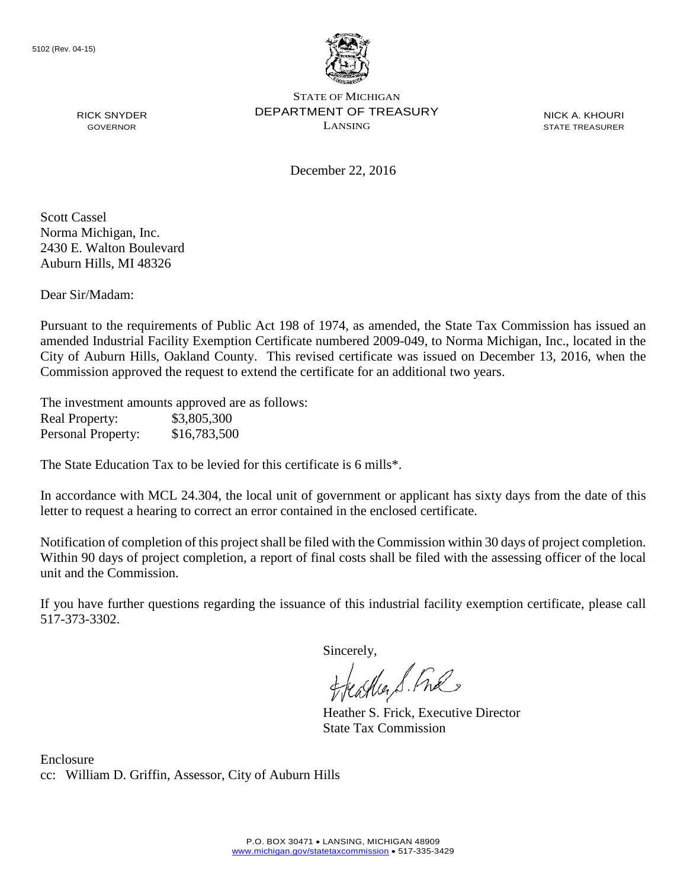

NICK A. KHOURI STATE TREASURER

December 22, 2016

Scott Cassel Norma Michigan, Inc. 2430 E. Walton Boulevard Auburn Hills, MI 48326

RICK SNYDER GOVERNOR

Dear Sir/Madam:

Pursuant to the requirements of Public Act 198 of 1974, as amended, the State Tax Commission has issued an amended Industrial Facility Exemption Certificate numbered 2009-049, to Norma Michigan, Inc., located in the City of Auburn Hills, Oakland County. This revised certificate was issued on December 13, 2016, when the Commission approved the request to extend the certificate for an additional two years.

The investment amounts approved are as follows: Real Property: \$3,805,300 Personal Property: \$16,783,500

The State Education Tax to be levied for this certificate is 6 mills\*.

In accordance with MCL 24.304, the local unit of government or applicant has sixty days from the date of this letter to request a hearing to correct an error contained in the enclosed certificate.

Notification of completion of this project shall be filed with the Commission within 30 days of project completion. Within 90 days of project completion, a report of final costs shall be filed with the assessing officer of the local unit and the Commission.

If you have further questions regarding the issuance of this industrial facility exemption certificate, please call 517-373-3302.

Sincerely,

teagher S. Fral

Heather S. Frick, Executive Director State Tax Commission

Enclosure cc: William D. Griffin, Assessor, City of Auburn Hills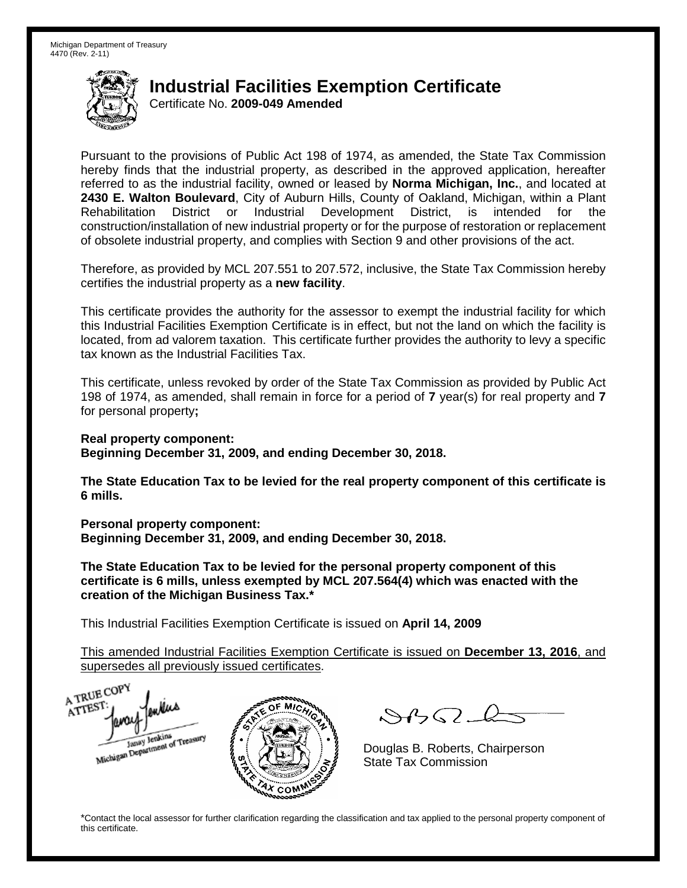Certificate No. **2009-049 Amended**

Pursuant to the provisions of Public Act 198 of 1974, as amended, the State Tax Commission hereby finds that the industrial property, as described in the approved application, hereafter referred to as the industrial facility, owned or leased by **Norma Michigan, Inc.**, and located at **2430 E. Walton Boulevard**, City of Auburn Hills, County of Oakland, Michigan, within a Plant Rehabilitation District or Industrial Development District, is intended for the construction/installation of new industrial property or for the purpose of restoration or replacement of obsolete industrial property, and complies with Section 9 and other provisions of the act.

Therefore, as provided by MCL 207.551 to 207.572, inclusive, the State Tax Commission hereby certifies the industrial property as a **new facility**.

This certificate provides the authority for the assessor to exempt the industrial facility for which this Industrial Facilities Exemption Certificate is in effect, but not the land on which the facility is located, from ad valorem taxation. This certificate further provides the authority to levy a specific tax known as the Industrial Facilities Tax.

This certificate, unless revoked by order of the State Tax Commission as provided by Public Act 198 of 1974, as amended, shall remain in force for a period of **7** year(s) for real property and **7** for personal property**;**

**Real property component:**

**Beginning December 31, 2009, and ending December 30, 2018.**

**The State Education Tax to be levied for the real property component of this certificate is 6 mills.**

**Personal property component: Beginning December 31, 2009, and ending December 30, 2018.**

**The State Education Tax to be levied for the personal property component of this certificate is 6 mills, unless exempted by MCL 207.564(4) which was enacted with the creation of the Michigan Business Tax.\***

This Industrial Facilities Exemption Certificate is issued on **April 14, 2009**

This amended Industrial Facilities Exemption Certificate is issued on **December 13, 2016**, and supersedes all previously issued certificates.

A TRUE COP A TTEST enters Michigan Department of Treasury COM<sub>.</sub>

 $8450 - 6$ 

Douglas B. Roberts, Chairperson State Tax Commission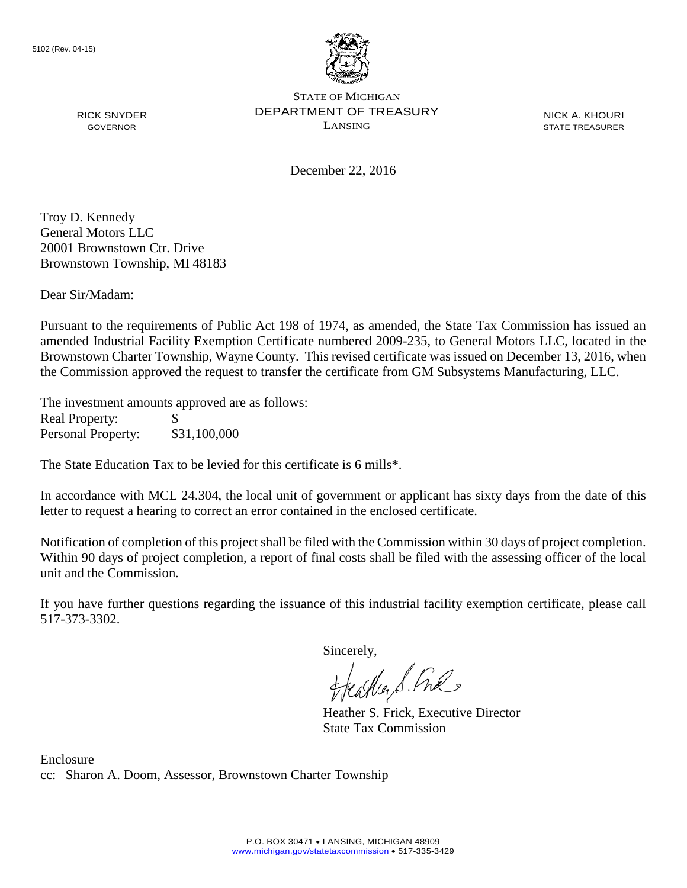

NICK A. KHOURI STATE TREASURER

December 22, 2016

Troy D. Kennedy General Motors LLC 20001 Brownstown Ctr. Drive Brownstown Township, MI 48183

RICK SNYDER GOVERNOR

Dear Sir/Madam:

Pursuant to the requirements of Public Act 198 of 1974, as amended, the State Tax Commission has issued an amended Industrial Facility Exemption Certificate numbered 2009-235, to General Motors LLC, located in the Brownstown Charter Township, Wayne County. This revised certificate was issued on December 13, 2016, when the Commission approved the request to transfer the certificate from GM Subsystems Manufacturing, LLC.

The investment amounts approved are as follows: Real Property: \$ Personal Property: \$31,100,000

The State Education Tax to be levied for this certificate is 6 mills\*.

In accordance with MCL 24.304, the local unit of government or applicant has sixty days from the date of this letter to request a hearing to correct an error contained in the enclosed certificate.

Notification of completion of this project shall be filed with the Commission within 30 days of project completion. Within 90 days of project completion, a report of final costs shall be filed with the assessing officer of the local unit and the Commission.

If you have further questions regarding the issuance of this industrial facility exemption certificate, please call 517-373-3302.

Sincerely,

feastles S. Ful

Heather S. Frick, Executive Director State Tax Commission

Enclosure cc: Sharon A. Doom, Assessor, Brownstown Charter Township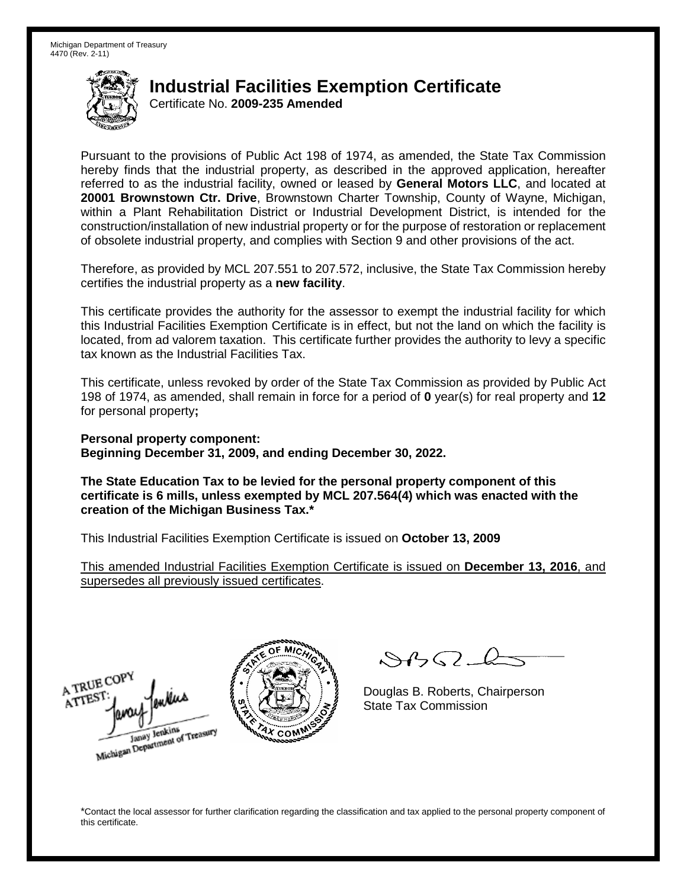Certificate No. **2009-235 Amended**

Pursuant to the provisions of Public Act 198 of 1974, as amended, the State Tax Commission hereby finds that the industrial property, as described in the approved application, hereafter referred to as the industrial facility, owned or leased by **General Motors LLC**, and located at **20001 Brownstown Ctr. Drive**, Brownstown Charter Township, County of Wayne, Michigan, within a Plant Rehabilitation District or Industrial Development District, is intended for the construction/installation of new industrial property or for the purpose of restoration or replacement of obsolete industrial property, and complies with Section 9 and other provisions of the act.

Therefore, as provided by MCL 207.551 to 207.572, inclusive, the State Tax Commission hereby certifies the industrial property as a **new facility**.

This certificate provides the authority for the assessor to exempt the industrial facility for which this Industrial Facilities Exemption Certificate is in effect, but not the land on which the facility is located, from ad valorem taxation. This certificate further provides the authority to levy a specific tax known as the Industrial Facilities Tax.

This certificate, unless revoked by order of the State Tax Commission as provided by Public Act 198 of 1974, as amended, shall remain in force for a period of **0** year(s) for real property and **12** for personal property**;**

**Personal property component: Beginning December 31, 2009, and ending December 30, 2022.**

**The State Education Tax to be levied for the personal property component of this certificate is 6 mills, unless exempted by MCL 207.564(4) which was enacted with the creation of the Michigan Business Tax.\***

This Industrial Facilities Exemption Certificate is issued on **October 13, 2009**

This amended Industrial Facilities Exemption Certificate is issued on **December 13, 2016**, and supersedes all previously issued certificates.





 $\mathcal{S}4\mathcal{G}$ 

Douglas B. Roberts, Chairperson State Tax Commission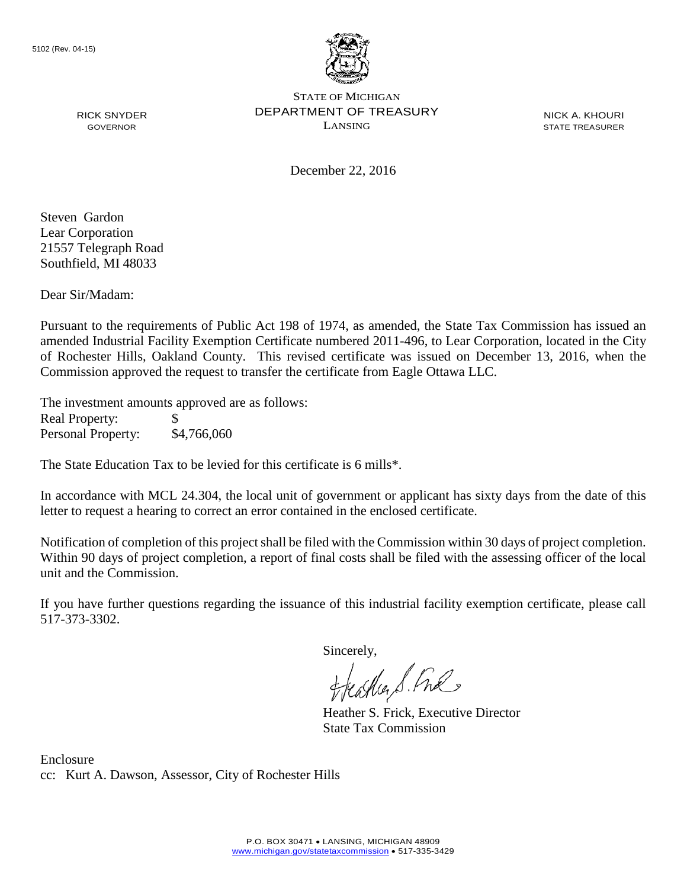

NICK A. KHOURI STATE TREASURER

December 22, 2016

Steven Gardon Lear Corporation 21557 Telegraph Road Southfield, MI 48033

RICK SNYDER GOVERNOR

Dear Sir/Madam:

Pursuant to the requirements of Public Act 198 of 1974, as amended, the State Tax Commission has issued an amended Industrial Facility Exemption Certificate numbered 2011-496, to Lear Corporation, located in the City of Rochester Hills, Oakland County. This revised certificate was issued on December 13, 2016, when the Commission approved the request to transfer the certificate from Eagle Ottawa LLC.

The investment amounts approved are as follows: Real Property: \$ Personal Property: \$4,766,060

The State Education Tax to be levied for this certificate is 6 mills\*.

In accordance with MCL 24.304, the local unit of government or applicant has sixty days from the date of this letter to request a hearing to correct an error contained in the enclosed certificate.

Notification of completion of this project shall be filed with the Commission within 30 days of project completion. Within 90 days of project completion, a report of final costs shall be filed with the assessing officer of the local unit and the Commission.

If you have further questions regarding the issuance of this industrial facility exemption certificate, please call 517-373-3302.

Sincerely,

feastles S. Ful

Heather S. Frick, Executive Director State Tax Commission

Enclosure cc: Kurt A. Dawson, Assessor, City of Rochester Hills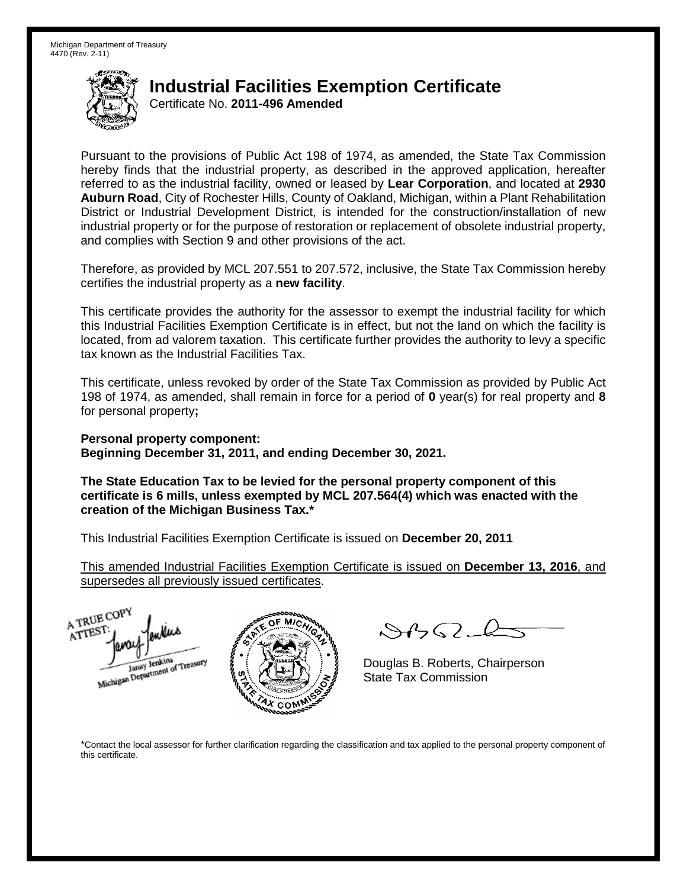Certificate No. **2011-496 Amended**

Pursuant to the provisions of Public Act 198 of 1974, as amended, the State Tax Commission hereby finds that the industrial property, as described in the approved application, hereafter referred to as the industrial facility, owned or leased by **Lear Corporation**, and located at **2930 Auburn Road**, City of Rochester Hills, County of Oakland, Michigan, within a Plant Rehabilitation District or Industrial Development District, is intended for the construction/installation of new industrial property or for the purpose of restoration or replacement of obsolete industrial property, and complies with Section 9 and other provisions of the act.

Therefore, as provided by MCL 207.551 to 207.572, inclusive, the State Tax Commission hereby certifies the industrial property as a **new facility**.

This certificate provides the authority for the assessor to exempt the industrial facility for which this Industrial Facilities Exemption Certificate is in effect, but not the land on which the facility is located, from ad valorem taxation. This certificate further provides the authority to levy a specific tax known as the Industrial Facilities Tax.

This certificate, unless revoked by order of the State Tax Commission as provided by Public Act 198 of 1974, as amended, shall remain in force for a period of **0** year(s) for real property and **8** for personal property**;**

**Personal property component: Beginning December 31, 2011, and ending December 30, 2021.**

**The State Education Tax to be levied for the personal property component of this certificate is 6 mills, unless exempted by MCL 207.564(4) which was enacted with the creation of the Michigan Business Tax.\***

This Industrial Facilities Exemption Certificate is issued on **December 20, 2011**

This amended Industrial Facilities Exemption Certificate is issued on **December 13, 2016**, and supersedes all previously issued certificates.



 $\mathcal{A} \cap \mathcal{A} \cap \mathcal{A}$ 

Douglas B. Roberts, Chairperson State Tax Commission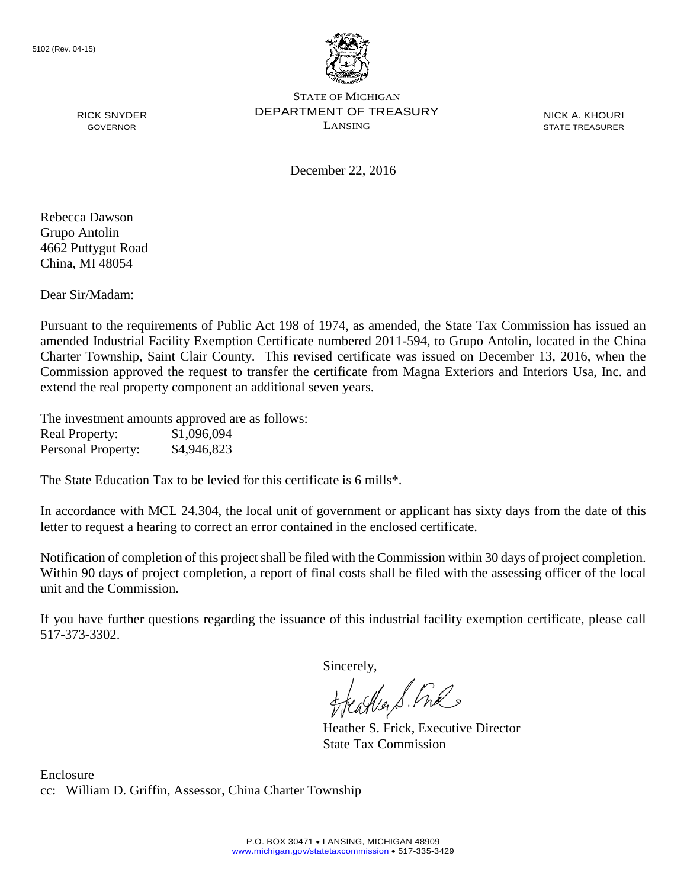

NICK A. KHOURI STATE TREASURER

December 22, 2016

Rebecca Dawson Grupo Antolin 4662 Puttygut Road China, MI 48054

RICK SNYDER GOVERNOR

Dear Sir/Madam:

Pursuant to the requirements of Public Act 198 of 1974, as amended, the State Tax Commission has issued an amended Industrial Facility Exemption Certificate numbered 2011-594, to Grupo Antolin, located in the China Charter Township, Saint Clair County. This revised certificate was issued on December 13, 2016, when the Commission approved the request to transfer the certificate from Magna Exteriors and Interiors Usa, Inc. and extend the real property component an additional seven years.

The investment amounts approved are as follows: Real Property: \$1,096,094 Personal Property: \$4,946,823

The State Education Tax to be levied for this certificate is 6 mills\*.

In accordance with MCL 24.304, the local unit of government or applicant has sixty days from the date of this letter to request a hearing to correct an error contained in the enclosed certificate.

Notification of completion of this project shall be filed with the Commission within 30 days of project completion. Within 90 days of project completion, a report of final costs shall be filed with the assessing officer of the local unit and the Commission.

If you have further questions regarding the issuance of this industrial facility exemption certificate, please call 517-373-3302.

Sincerely,

asker S. Ful

Heather S. Frick, Executive Director State Tax Commission

Enclosure cc: William D. Griffin, Assessor, China Charter Township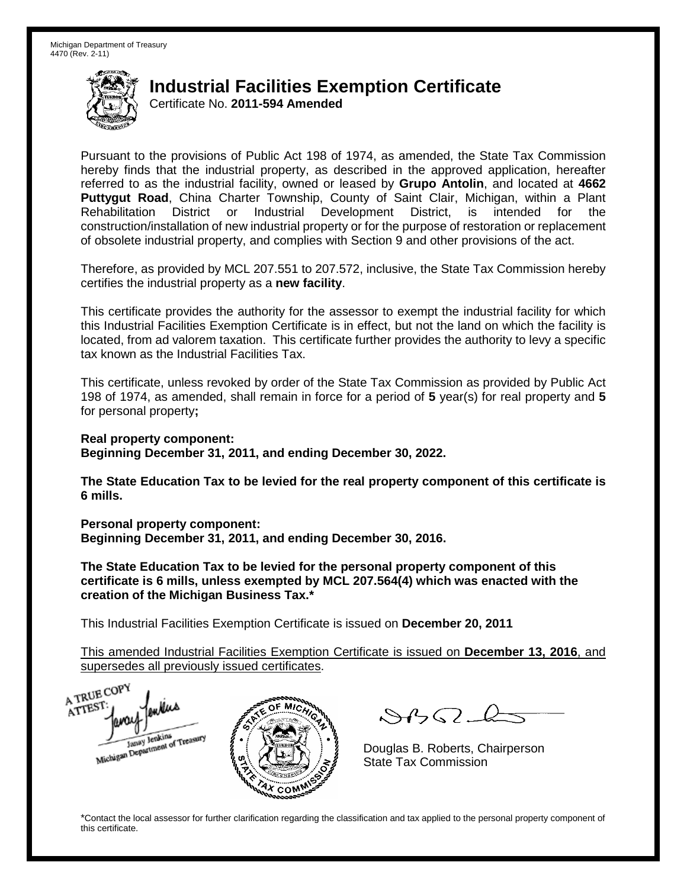Certificate No. **2011-594 Amended**

Pursuant to the provisions of Public Act 198 of 1974, as amended, the State Tax Commission hereby finds that the industrial property, as described in the approved application, hereafter referred to as the industrial facility, owned or leased by **Grupo Antolin**, and located at **4662 Puttygut Road**, China Charter Township, County of Saint Clair, Michigan, within a Plant Rehabilitation District or Industrial Development District, is intended for the construction/installation of new industrial property or for the purpose of restoration or replacement of obsolete industrial property, and complies with Section 9 and other provisions of the act.

Therefore, as provided by MCL 207.551 to 207.572, inclusive, the State Tax Commission hereby certifies the industrial property as a **new facility**.

This certificate provides the authority for the assessor to exempt the industrial facility for which this Industrial Facilities Exemption Certificate is in effect, but not the land on which the facility is located, from ad valorem taxation. This certificate further provides the authority to levy a specific tax known as the Industrial Facilities Tax.

This certificate, unless revoked by order of the State Tax Commission as provided by Public Act 198 of 1974, as amended, shall remain in force for a period of **5** year(s) for real property and **5** for personal property**;**

**Real property component:**

**Beginning December 31, 2011, and ending December 30, 2022.**

**The State Education Tax to be levied for the real property component of this certificate is 6 mills.**

**Personal property component:**

**Beginning December 31, 2011, and ending December 30, 2016.**

**The State Education Tax to be levied for the personal property component of this certificate is 6 mills, unless exempted by MCL 207.564(4) which was enacted with the creation of the Michigan Business Tax.\***

This Industrial Facilities Exemption Certificate is issued on **December 20, 2011**

This amended Industrial Facilities Exemption Certificate is issued on **December 13, 2016**, and supersedes all previously issued certificates.

A TRUE COP A TTEST enters Michigan Department of Treasury COM<sub>.</sub>

 $8450 - 6$ 

Douglas B. Roberts, Chairperson State Tax Commission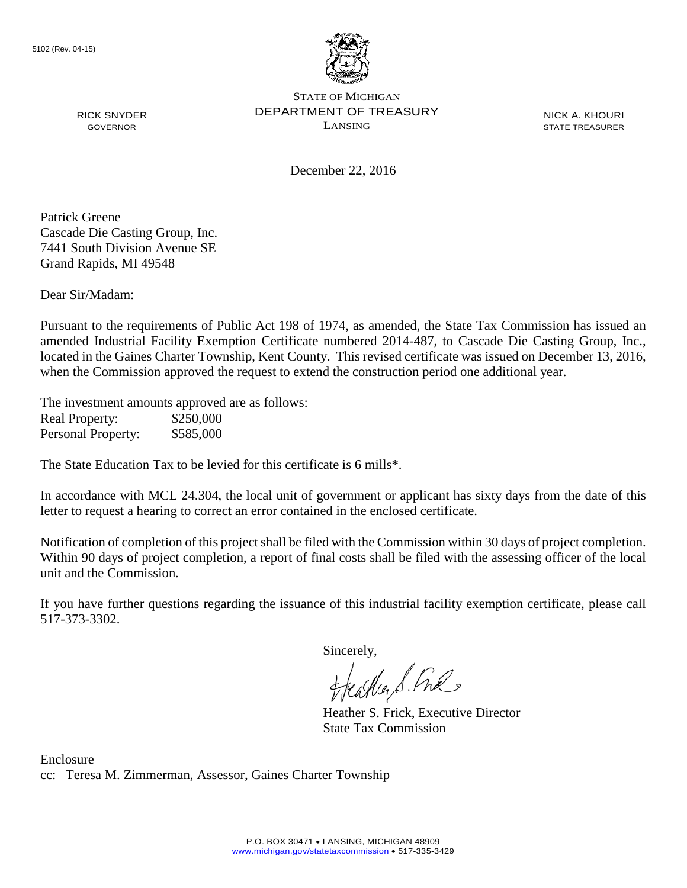

NICK A. KHOURI STATE TREASURER

December 22, 2016

Patrick Greene Cascade Die Casting Group, Inc. 7441 South Division Avenue SE Grand Rapids, MI 49548

RICK SNYDER GOVERNOR

Dear Sir/Madam:

Pursuant to the requirements of Public Act 198 of 1974, as amended, the State Tax Commission has issued an amended Industrial Facility Exemption Certificate numbered 2014-487, to Cascade Die Casting Group, Inc., located in the Gaines Charter Township, Kent County. This revised certificate was issued on December 13, 2016, when the Commission approved the request to extend the construction period one additional year.

The investment amounts approved are as follows: Real Property: \$250,000 Personal Property: \$585,000

The State Education Tax to be levied for this certificate is 6 mills\*.

In accordance with MCL 24.304, the local unit of government or applicant has sixty days from the date of this letter to request a hearing to correct an error contained in the enclosed certificate.

Notification of completion of this project shall be filed with the Commission within 30 days of project completion. Within 90 days of project completion, a report of final costs shall be filed with the assessing officer of the local unit and the Commission.

If you have further questions regarding the issuance of this industrial facility exemption certificate, please call 517-373-3302.

Sincerely,

teagher S. Fral

Heather S. Frick, Executive Director State Tax Commission

Enclosure cc: Teresa M. Zimmerman, Assessor, Gaines Charter Township